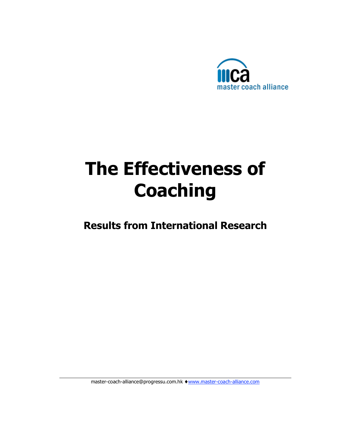

# **The Effectiveness of Coaching**

**Results from International Research**

master-coach-alliance@progressu.com.hk ♦ www.master-coach-alliance.com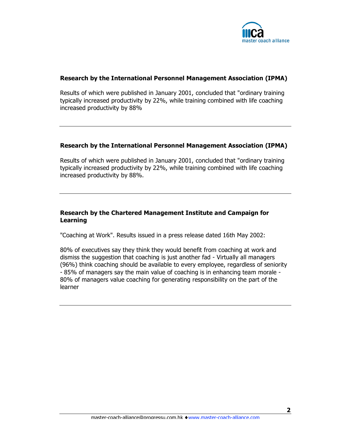

#### **Research by the International Personnel Management Association (IPMA)**

Results of which were published in January 2001, concluded that "ordinary training typically increased productivity by 22%, while training combined with life coaching increased productivity by 88%

#### **Research by the International Personnel Management Association (IPMA)**

Results of which were published in January 2001, concluded that "ordinary training typically increased productivity by 22%, while training combined with life coaching increased productivity by 88%.

#### **Research by the Chartered Management Institute and Campaign for Learning**

"Coaching at Work". Results issued in a press release dated 16th May 2002:

80% of executives say they think they would benefit from coaching at work and dismiss the suggestion that coaching is just another fad - Virtually all managers (96%) think coaching should be available to every employee, regardless of seniority - 85% of managers say the main value of coaching is in enhancing team morale - 80% of managers value coaching for generating responsibility on the part of the learner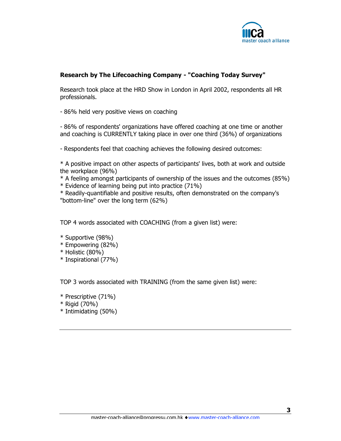

### **Research by The Lifecoaching Company - "Coaching Today Survey"**

Research took place at the HRD Show in London in April 2002, respondents all HR professionals.

- 86% held very positive views on coaching

- 86% of respondents' organizations have offered coaching at one time or another and coaching is CURRENTLY taking place in over one third (36%) of organizations

- Respondents feel that coaching achieves the following desired outcomes:

\* A positive impact on other aspects of participants' lives, both at work and outside the workplace (96%)

\* A feeling amongst participants of ownership of the issues and the outcomes (85%)

\* Evidence of learning being put into practice (71%)

\* Readily-quantifiable and positive results, often demonstrated on the company's "bottom-line" over the long term (62%)

TOP 4 words associated with COACHING (from a given list) were:

- \* Supportive (98%)
- \* Empowering (82%)
- \* Holistic (80%)
- \* Inspirational (77%)

TOP 3 words associated with TRAINING (from the same given list) were:

- \* Prescriptive (71%)
- \* Rigid (70%)
- \* Intimidating (50%)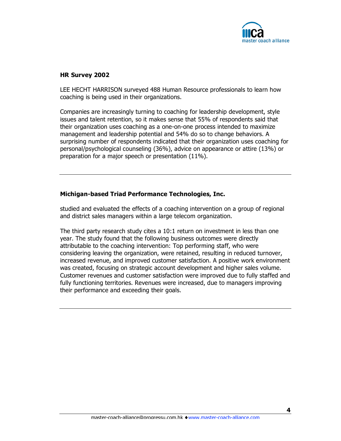

#### **HR Survey 2002**

LEE HECHT HARRISON surveyed 488 Human Resource professionals to learn how coaching is being used in their organizations.

Companies are increasingly turning to coaching for leadership development, style issues and talent retention, so it makes sense that 55% of respondents said that their organization uses coaching as a one-on-one process intended to maximize management and leadership potential and 54% do so to change behaviors. A surprising number of respondents indicated that their organization uses coaching for personal/psychological counseling (36%), advice on appearance or attire (13%) or preparation for a major speech or presentation (11%).

#### **Michigan-based Triad Performance Technologies, Inc.**

studied and evaluated the effects of a coaching intervention on a group of regional and district sales managers within a large telecom organization.

The third party research study cites a 10:1 return on investment in less than one year. The study found that the following business outcomes were directly attributable to the coaching intervention: Top performing staff, who were considering leaving the organization, were retained, resulting in reduced turnover, increased revenue, and improved customer satisfaction. A positive work environment was created, focusing on strategic account development and higher sales volume. Customer revenues and customer satisfaction were improved due to fully staffed and fully functioning territories. Revenues were increased, due to managers improving their performance and exceeding their goals.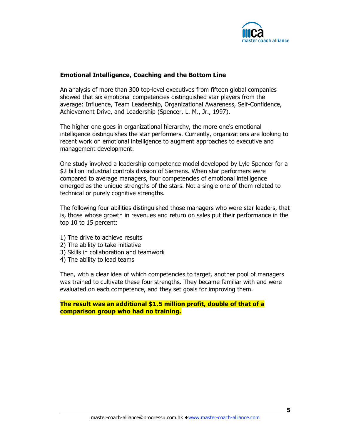

#### **Emotional Intelligence, Coaching and the Bottom Line**

An analysis of more than 300 top-level executives from fifteen global companies showed that six emotional competencies distinguished star players from the average: Influence, Team Leadership, Organizational Awareness, Self-Confidence, Achievement Drive, and Leadership (Spencer, L. M., Jr., 1997).

The higher one goes in organizational hierarchy, the more one's emotional intelligence distinguishes the star performers. Currently, organizations are looking to recent work on emotional intelligence to augment approaches to executive and management development.

One study involved a leadership competence model developed by Lyle Spencer for a \$2 billion industrial controls division of Siemens. When star performers were compared to average managers, four competencies of emotional intelligence emerged as the unique strengths of the stars. Not a single one of them related to technical or purely cognitive strengths.

The following four abilities distinguished those managers who were star leaders, that is, those whose growth in revenues and return on sales put their performance in the top 10 to 15 percent:

- 1) The drive to achieve results
- 2) The ability to take initiative
- 3) Skills in collaboration and teamwork
- 4) The ability to lead teams

Then, with a clear idea of which competencies to target, another pool of managers was trained to cultivate these four strengths. They became familiar with and were evaluated on each competence, and they set goals for improving them.

**The result was an additional \$1.5 million profit, double of that of a comparison group who had no training.**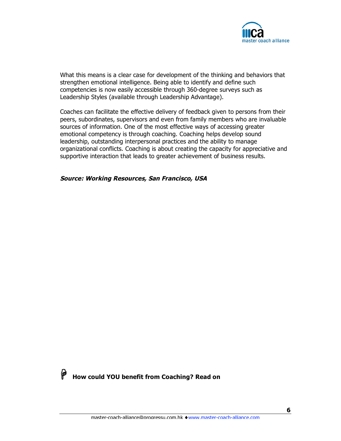

What this means is a clear case for development of the thinking and behaviors that strengthen emotional intelligence. Being able to identify and define such competencies is now easily accessible through 360-degree surveys such as Leadership Styles (available through Leadership Advantage).

Coaches can facilitate the effective delivery of feedback given to persons from their peers, subordinates, supervisors and even from family members who are invaluable sources of information. One of the most effective ways of accessing greater emotional competency is through coaching. Coaching helps develop sound leadership, outstanding interpersonal practices and the ability to manage organizational conflicts. Coaching is about creating the capacity for appreciative and supportive interaction that leads to greater achievement of business results.

#### **Source: Working Resources, San Francisco, USA**



**How could YOU benefit from Coaching? Read on**